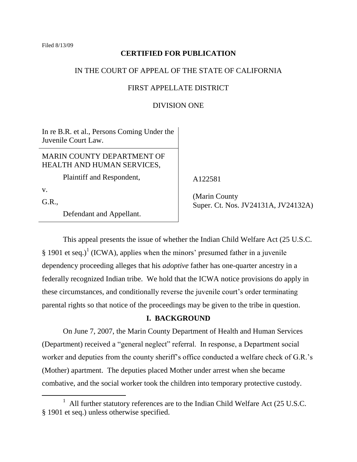Filed 8/13/09

## **CERTIFIED FOR PUBLICATION**

### IN THE COURT OF APPEAL OF THE STATE OF CALIFORNIA

### FIRST APPELLATE DISTRICT

### DIVISION ONE

In re B.R. et al., Persons Coming Under the Juvenile Court Law.

MARIN COUNTY DEPARTMENT OF HEALTH AND HUMAN SERVICES,

Plaintiff and Respondent,

v.

 $\overline{a}$ 

G.R.,

Defendant and Appellant.

A122581

 (Marin County Super. Ct. Nos. JV24131A, JV24132A)

This appeal presents the issue of whether the Indian Child Welfare Act (25 U.S.C. § 1901 et seq.)<sup>1</sup> (ICWA), applies when the minors' presumed father in a juvenile dependency proceeding alleges that his *adoptive* father has one-quarter ancestry in a federally recognized Indian tribe. We hold that the ICWA notice provisions do apply in these circumstances, and conditionally reverse the juvenile court's order terminating parental rights so that notice of the proceedings may be given to the tribe in question.

### **I. BACKGROUND**

On June 7, 2007, the Marin County Department of Health and Human Services (Department) received a "general neglect" referral. In response, a Department social worker and deputies from the county sheriff's office conducted a welfare check of G.R.'s (Mother) apartment. The deputies placed Mother under arrest when she became combative, and the social worker took the children into temporary protective custody.

<sup>&</sup>lt;sup>1</sup> All further statutory references are to the Indian Child Welfare Act (25 U.S.C. § 1901 et seq.) unless otherwise specified.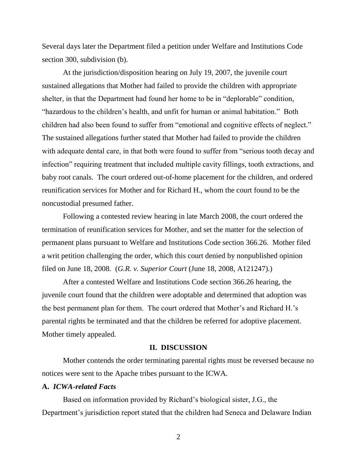Several days later the Department filed a petition under Welfare and Institutions Code section 300, subdivision (b).

At the jurisdiction/disposition hearing on July 19, 2007, the juvenile court sustained allegations that Mother had failed to provide the children with appropriate shelter, in that the Department had found her home to be in "deplorable" condition, "hazardous to the children's health, and unfit for human or animal habitation." Both children had also been found to suffer from "emotional and cognitive effects of neglect." The sustained allegations further stated that Mother had failed to provide the children with adequate dental care, in that both were found to suffer from "serious tooth decay and infection" requiring treatment that included multiple cavity fillings, tooth extractions, and baby root canals. The court ordered out-of-home placement for the children, and ordered reunification services for Mother and for Richard H., whom the court found to be the noncustodial presumed father.

Following a contested review hearing in late March 2008, the court ordered the termination of reunification services for Mother, and set the matter for the selection of permanent plans pursuant to Welfare and Institutions Code section 366.26. Mother filed a writ petition challenging the order, which this court denied by nonpublished opinion filed on June 18, 2008. (*G.R. v. Superior Court* (June 18, 2008, A121247).)

After a contested Welfare and Institutions Code section 366.26 hearing, the juvenile court found that the children were adoptable and determined that adoption was the best permanent plan for them. The court ordered that Mother's and Richard H.'s parental rights be terminated and that the children be referred for adoptive placement. Mother timely appealed.

#### **II. DISCUSSION**

Mother contends the order terminating parental rights must be reversed because no notices were sent to the Apache tribes pursuant to the ICWA.

#### **A.** *ICWA-related Facts*

Based on information provided by Richard's biological sister, J.G., the Department's jurisdiction report stated that the children had Seneca and Delaware Indian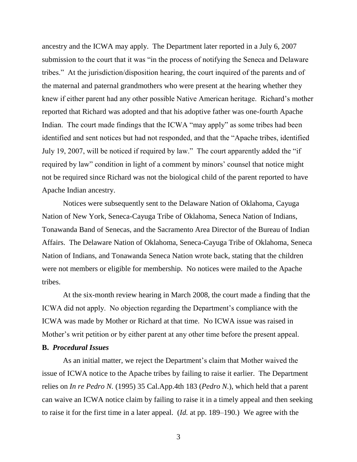ancestry and the ICWA may apply. The Department later reported in a July 6, 2007 submission to the court that it was "in the process of notifying the Seneca and Delaware tribes.‖ At the jurisdiction/disposition hearing, the court inquired of the parents and of the maternal and paternal grandmothers who were present at the hearing whether they knew if either parent had any other possible Native American heritage. Richard's mother reported that Richard was adopted and that his adoptive father was one-fourth Apache Indian. The court made findings that the ICWA "may apply" as some tribes had been identified and sent notices but had not responded, and that the "Apache tribes, identified July 19, 2007, will be noticed if required by law." The court apparently added the "if" required by law" condition in light of a comment by minors' counsel that notice might not be required since Richard was not the biological child of the parent reported to have Apache Indian ancestry.

Notices were subsequently sent to the Delaware Nation of Oklahoma, Cayuga Nation of New York, Seneca-Cayuga Tribe of Oklahoma, Seneca Nation of Indians, Tonawanda Band of Senecas, and the Sacramento Area Director of the Bureau of Indian Affairs. The Delaware Nation of Oklahoma, Seneca-Cayuga Tribe of Oklahoma, Seneca Nation of Indians, and Tonawanda Seneca Nation wrote back, stating that the children were not members or eligible for membership. No notices were mailed to the Apache tribes.

At the six-month review hearing in March 2008, the court made a finding that the ICWA did not apply. No objection regarding the Department's compliance with the ICWA was made by Mother or Richard at that time. No ICWA issue was raised in Mother's writ petition or by either parent at any other time before the present appeal.

# **B.** *Procedural Issues*

As an initial matter, we reject the Department's claim that Mother waived the issue of ICWA notice to the Apache tribes by failing to raise it earlier. The Department relies on *In re Pedro N.* (1995) 35 Cal.App.4th 183 (*Pedro N.*), which held that a parent can waive an ICWA notice claim by failing to raise it in a timely appeal and then seeking to raise it for the first time in a later appeal. (*Id.* at pp. 189–190.) We agree with the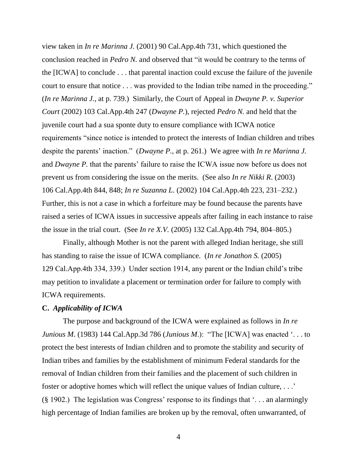view taken in *In re Marinna J.* (2001) 90 Cal.App.4th 731, which questioned the conclusion reached in *Pedro N*. and observed that "it would be contrary to the terms of the [ICWA] to conclude . . . that parental inaction could excuse the failure of the juvenile court to ensure that notice . . . was provided to the Indian tribe named in the proceeding." (*In re Marinna J.*, at p. 739.) Similarly, the Court of Appeal in *Dwayne P. v. Superior Court* (2002) 103 Cal.App.4th 247 (*Dwayne P.*), rejected *Pedro N.* and held that the juvenile court had a sua sponte duty to ensure compliance with ICWA notice requirements "since notice is intended to protect the interests of Indian children and tribes despite the parents' inaction." (*Dwayne P.*, at p. 261.) We agree with *In re Marinna J.* and *Dwayne P.* that the parents' failure to raise the ICWA issue now before us does not prevent us from considering the issue on the merits. (See also *In re Nikki R*. (2003) 106 Cal.App.4th 844, 848; *In re Suzanna L.* (2002) 104 Cal.App.4th 223, 231–232.) Further, this is not a case in which a forfeiture may be found because the parents have raised a series of ICWA issues in successive appeals after failing in each instance to raise the issue in the trial court. (See *In re X.V.* (2005) 132 Cal.App.4th 794, 804–805.)

Finally, although Mother is not the parent with alleged Indian heritage, she still has standing to raise the issue of ICWA compliance. (*In re Jonathon S.* (2005) 129 Cal.App.4th 334, 339.) Under section 1914, any parent or the Indian child's tribe may petition to invalidate a placement or termination order for failure to comply with ICWA requirements.

#### **C.** *Applicability of ICWA*

The purpose and background of the ICWA were explained as follows in *In re Junious M.* (1983) 144 Cal.App.3d 786 (*Junious M.*): "The [ICWA] was enacted '... to protect the best interests of Indian children and to promote the stability and security of Indian tribes and families by the establishment of minimum Federal standards for the removal of Indian children from their families and the placement of such children in foster or adoptive homes which will reflect the unique values of Indian culture, . . .' (§ 1902.) The legislation was Congress' response to its findings that ‗. . . an alarmingly high percentage of Indian families are broken up by the removal, often unwarranted, of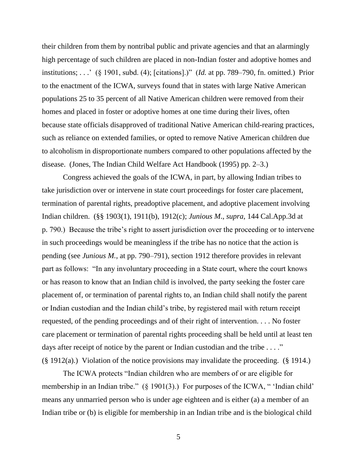their children from them by nontribal public and private agencies and that an alarmingly high percentage of such children are placed in non-Indian foster and adoptive homes and institutions; . . . <sup>\*</sup> (§ 1901, subd. (4); [citations].)" (*Id.* at pp. 789–790, fn. omitted.) Prior to the enactment of the ICWA, surveys found that in states with large Native American populations 25 to 35 percent of all Native American children were removed from their homes and placed in foster or adoptive homes at one time during their lives, often because state officials disapproved of traditional Native American child-rearing practices, such as reliance on extended families, or opted to remove Native American children due to alcoholism in disproportionate numbers compared to other populations affected by the disease. (Jones, The Indian Child Welfare Act Handbook (1995) pp. 2–3.)

Congress achieved the goals of the ICWA, in part, by allowing Indian tribes to take jurisdiction over or intervene in state court proceedings for foster care placement, termination of parental rights, preadoptive placement, and adoptive placement involving Indian children. (§§ 1903(1), 1911(b), 1912(c); *Junious M*., *supra*, 144 Cal.App.3d at p. 790.) Because the tribe's right to assert jurisdiction over the proceeding or to intervene in such proceedings would be meaningless if the tribe has no notice that the action is pending (see *Junious M.*, at pp. 790–791), section 1912 therefore provides in relevant part as follows: "In any involuntary proceeding in a State court, where the court knows or has reason to know that an Indian child is involved, the party seeking the foster care placement of, or termination of parental rights to, an Indian child shall notify the parent or Indian custodian and the Indian child's tribe, by registered mail with return receipt requested, of the pending proceedings and of their right of intervention. . . . No foster care placement or termination of parental rights proceeding shall be held until at least ten days after receipt of notice by the parent or Indian custodian and the tribe  $\dots$ ." (§ 1912(a).) Violation of the notice provisions may invalidate the proceeding. (§ 1914.)

The ICWA protects "Indian children who are members of or are eligible for membership in an Indian tribe."  $(\S 1901(3))$  For purposes of the ICWA, " 'Indian child' means any unmarried person who is under age eighteen and is either (a) a member of an Indian tribe or (b) is eligible for membership in an Indian tribe and is the biological child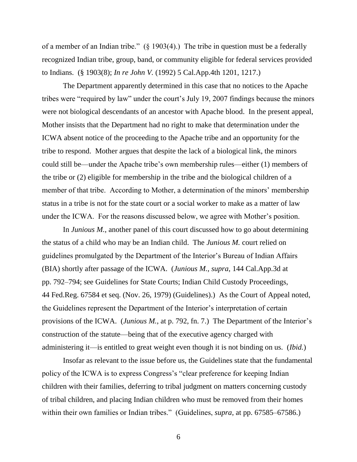of a member of an Indian tribe." (§ 1903(4).) The tribe in question must be a federally recognized Indian tribe, group, band, or community eligible for federal services provided to Indians. (§ 1903(8); *In re John V.* (1992) 5 Cal.App.4th 1201, 1217.)

The Department apparently determined in this case that no notices to the Apache tribes were "required by law" under the court's July 19, 2007 findings because the minors were not biological descendants of an ancestor with Apache blood. In the present appeal, Mother insists that the Department had no right to make that determination under the ICWA absent notice of the proceeding to the Apache tribe and an opportunity for the tribe to respond. Mother argues that despite the lack of a biological link, the minors could still be—under the Apache tribe's own membership rules—either (1) members of the tribe or (2) eligible for membership in the tribe and the biological children of a member of that tribe. According to Mother, a determination of the minors' membership status in a tribe is not for the state court or a social worker to make as a matter of law under the ICWA. For the reasons discussed below, we agree with Mother's position.

In *Junious M.*, another panel of this court discussed how to go about determining the status of a child who may be an Indian child. The *Junious M.* court relied on guidelines promulgated by the Department of the Interior's Bureau of Indian Affairs (BIA) shortly after passage of the ICWA. (*Junious M., supra*, 144 Cal.App.3d at pp. 792–794; see Guidelines for State Courts; Indian Child Custody Proceedings, 44 Fed.Reg. 67584 et seq. (Nov. 26, 1979) (Guidelines).) As the Court of Appeal noted, the Guidelines represent the Department of the Interior's interpretation of certain provisions of the ICWA. (*Junious M.*, at p. 792, fn. 7.) The Department of the Interior's construction of the statute—being that of the executive agency charged with administering it—is entitled to great weight even though it is not binding on us. (*Ibid.*)

Insofar as relevant to the issue before us, the Guidelines state that the fundamental policy of the ICWA is to express Congress's "clear preference for keeping Indian children with their families, deferring to tribal judgment on matters concerning custody of tribal children, and placing Indian children who must be removed from their homes within their own families or Indian tribes." (Guidelines, *supra*, at pp. 67585–67586.)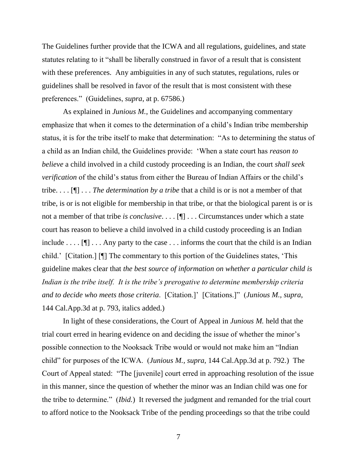The Guidelines further provide that the ICWA and all regulations, guidelines, and state statutes relating to it "shall be liberally construed in favor of a result that is consistent with these preferences. Any ambiguities in any of such statutes, regulations, rules or guidelines shall be resolved in favor of the result that is most consistent with these preferences.‖ (Guidelines, *supra*, at p. 67586.)

As explained in *Junious M.*, the Guidelines and accompanying commentary emphasize that when it comes to the determination of a child's Indian tribe membership status, it is for the tribe itself to make that determination: "As to determining the status of a child as an Indian child, the Guidelines provide: ‗When a state court has *reason to believe* a child involved in a child custody proceeding is an Indian, the court *shall seek verification* of the child's status from either the Bureau of Indian Affairs or the child's tribe. . . . [¶] . . . *The determination by a tribe* that a child is or is not a member of that tribe, is or is not eligible for membership in that tribe, or that the biological parent is or is not a member of that tribe *is conclusive*. . . . [¶] . . . Circumstances under which a state court has reason to believe a child involved in a child custody proceeding is an Indian include . . . . [ $\mathbb{I}$ ] . . . Any party to the case . . . informs the court that the child is an Indian child.' [Citation.] [I] The commentary to this portion of the Guidelines states, 'This guideline makes clear that *the best source of information on whether a particular child is Indian is the tribe itself. It is the tribe's prerogative to determine membership criteria and to decide who meets those criteria*. [Citation.]' [Citations.]‖ (*Junious M., supra*, 144 Cal.App.3d at p. 793, italics added.)

In light of these considerations, the Court of Appeal in *Junious M.* held that the trial court erred in hearing evidence on and deciding the issue of whether the minor's possible connection to the Nooksack Tribe would or would not make him an "Indian child" for purposes of the ICWA. (*Junious M., supra*, 144 Cal.App.3d at p. 792.) The Court of Appeal stated: "The [juvenile] court erred in approaching resolution of the issue in this manner, since the question of whether the minor was an Indian child was one for the tribe to determine.‖ (*Ibid.*) It reversed the judgment and remanded for the trial court to afford notice to the Nooksack Tribe of the pending proceedings so that the tribe could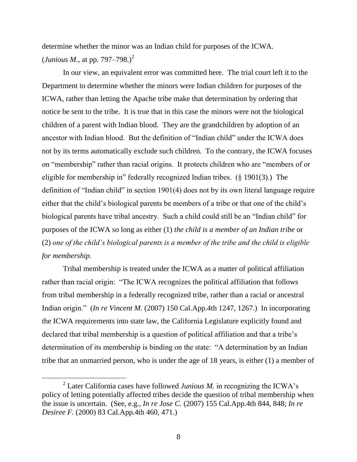determine whether the minor was an Indian child for purposes of the ICWA.  $(Junious M., at pp. 797–798.)<sup>2</sup>$ 

In our view, an equivalent error was committed here. The trial court left it to the Department to determine whether the minors were Indian children for purposes of the ICWA, rather than letting the Apache tribe make that determination by ordering that notice be sent to the tribe. It is true that in this case the minors were not the biological children of a parent with Indian blood. They are the grandchildren by adoption of an ancestor with Indian blood. But the definition of "Indian child" under the ICWA does not by its terms automatically exclude such children. To the contrary, the ICWA focuses on "membership" rather than racial origins. It protects children who are "members of or eligible for membership in" federally recognized Indian tribes. (§ 1901(3).) The definition of "Indian child" in section  $1901(4)$  does not by its own literal language require either that the child's biological parents be members of a tribe or that one of the child's biological parents have tribal ancestry. Such a child could still be an "Indian child" for purposes of the ICWA so long as either (1) *the child is a member of an Indian tribe* or (2) *one of the child's biological parents is a member of the tribe and the child is eligible for membership*.

Tribal membership is treated under the ICWA as a matter of political affiliation rather than racial origin: "The ICWA recognizes the political affiliation that follows from tribal membership in a federally recognized tribe, rather than a racial or ancestral Indian origin." (*In re Vincent M.* (2007) 150 Cal.App.4th 1247, 1267.) In incorporating the ICWA requirements into state law, the California Legislature explicitly found and declared that tribal membership is a question of political affiliation and that a tribe's determination of its membership is binding on the state: "A determination by an Indian tribe that an unmarried person, who is under the age of 18 years, is either (1) a member of

<sup>&</sup>lt;sup>2</sup> Later California cases have followed *Junious M*. in recognizing the ICWA's policy of letting potentially affected tribes decide the question of tribal membership when the issue is uncertain. (See, e.g., *In re Jose C.* (2007) 155 Cal.App.4th 844, 848; *In re Desiree F.* (2000) 83 Cal.App.4th 460, 471.)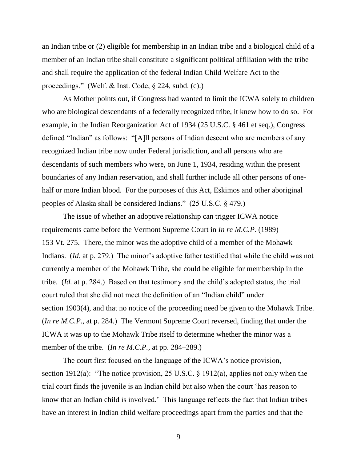an Indian tribe or (2) eligible for membership in an Indian tribe and a biological child of a member of an Indian tribe shall constitute a significant political affiliation with the tribe and shall require the application of the federal Indian Child Welfare Act to the proceedings." (Welf. & Inst. Code,  $\S$  224, subd. (c).)

As Mother points out, if Congress had wanted to limit the ICWA solely to children who are biological descendants of a federally recognized tribe, it knew how to do so. For example, in the Indian Reorganization Act of 1934 (25 U.S.C. § 461 et seq.), Congress defined "Indian" as follows: "[A]ll persons of Indian descent who are members of any recognized Indian tribe now under Federal jurisdiction, and all persons who are descendants of such members who were, on June 1, 1934, residing within the present boundaries of any Indian reservation, and shall further include all other persons of onehalf or more Indian blood. For the purposes of this Act, Eskimos and other aboriginal peoples of Alaska shall be considered Indians.‖ (25 U.S.C. § 479.)

The issue of whether an adoptive relationship can trigger ICWA notice requirements came before the Vermont Supreme Court in *In re M.C.P.* (1989) 153 Vt. 275. There, the minor was the adoptive child of a member of the Mohawk Indians. (*Id.* at p. 279.) The minor's adoptive father testified that while the child was not currently a member of the Mohawk Tribe, she could be eligible for membership in the tribe. (*Id.* at p. 284.) Based on that testimony and the child's adopted status, the trial court ruled that she did not meet the definition of an "Indian child" under section 1903(4), and that no notice of the proceeding need be given to the Mohawk Tribe. (*In re M.C.P.*, at p. 284*.*) The Vermont Supreme Court reversed, finding that under the ICWA it was up to the Mohawk Tribe itself to determine whether the minor was a member of the tribe. (*In re M.C.P.*, at pp. 284–289.)

The court first focused on the language of the ICWA's notice provision, section 1912(a): "The notice provision, 25 U.S.C.  $\S$  1912(a), applies not only when the trial court finds the juvenile is an Indian child but also when the court ‗has reason to know that an Indian child is involved.' This language reflects the fact that Indian tribes have an interest in Indian child welfare proceedings apart from the parties and that the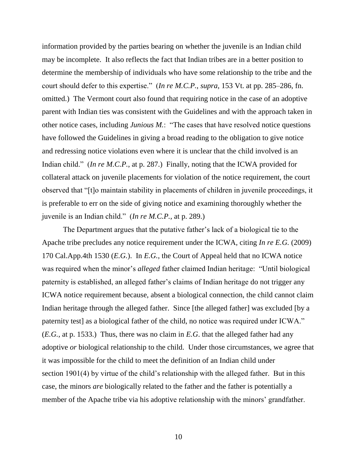information provided by the parties bearing on whether the juvenile is an Indian child may be incomplete. It also reflects the fact that Indian tribes are in a better position to determine the membership of individuals who have some relationship to the tribe and the court should defer to this expertise." (*In re M.C.P.*, *supra*, 153 Vt. at pp. 285–286, fn. omitted.) The Vermont court also found that requiring notice in the case of an adoptive parent with Indian ties was consistent with the Guidelines and with the approach taken in other notice cases, including *Junious M.*: "The cases that have resolved notice questions have followed the Guidelines in giving a broad reading to the obligation to give notice and redressing notice violations even where it is unclear that the child involved is an Indian child." *(In re M.C.P.*, at p. 287.) Finally, noting that the ICWA provided for collateral attack on juvenile placements for violation of the notice requirement, the court observed that "[t]o maintain stability in placements of children in juvenile proceedings, it is preferable to err on the side of giving notice and examining thoroughly whether the juvenile is an Indian child.‖ (*In re M.C.P.*, at p. 289.)

The Department argues that the putative father's lack of a biological tie to the Apache tribe precludes any notice requirement under the ICWA, citing *In re E.G.* (2009) 170 Cal.App.4th 1530 (*E.G.*). In *E.G.*, the Court of Appeal held that no ICWA notice was required when the minor's *alleged* father claimed Indian heritage: "Until biological paternity is established, an alleged father's claims of Indian heritage do not trigger any ICWA notice requirement because, absent a biological connection, the child cannot claim Indian heritage through the alleged father. Since [the alleged father] was excluded [by a paternity test] as a biological father of the child, no notice was required under ICWA." (*E.G.*, at p. 1533.) Thus, there was no claim in *E.G*. that the alleged father had any adoptive *or* biological relationship to the child. Under those circumstances, we agree that it was impossible for the child to meet the definition of an Indian child under section 1901(4) by virtue of the child's relationship with the alleged father. But in this case, the minors *are* biologically related to the father and the father is potentially a member of the Apache tribe via his adoptive relationship with the minors' grandfather.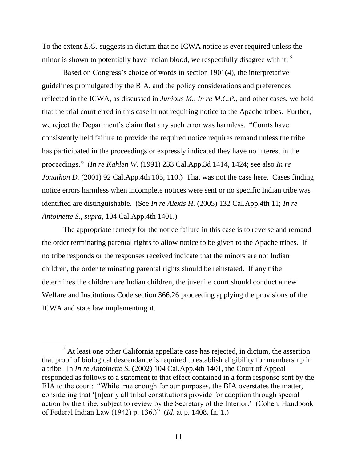To the extent *E.G.* suggests in dictum that no ICWA notice is ever required unless the minor is shown to potentially have Indian blood, we respectfully disagree with it.<sup>3</sup>

Based on Congress's choice of words in section 1901(4), the interpretative guidelines promulgated by the BIA, and the policy considerations and preferences reflected in the ICWA, as discussed in *Junious M.*, *In re M.C.P.*, and other cases, we hold that the trial court erred in this case in not requiring notice to the Apache tribes. Further, we reject the Department's claim that any such error was harmless. "Courts have consistently held failure to provide the required notice requires remand unless the tribe has participated in the proceedings or expressly indicated they have no interest in the proceedings.‖ (*In re Kahlen W.* (1991) 233 Cal.App.3d 1414, 1424; see also *In re Jonathon D.* (2001) 92 Cal.App.4th 105, 110.) That was not the case here. Cases finding notice errors harmless when incomplete notices were sent or no specific Indian tribe was identified are distinguishable. (See *In re Alexis H.* (2005) 132 Cal.App.4th 11; *In re Antoinette S.*, *supra*, 104 Cal.App.4th 1401.)

The appropriate remedy for the notice failure in this case is to reverse and remand the order terminating parental rights to allow notice to be given to the Apache tribes. If no tribe responds or the responses received indicate that the minors are not Indian children, the order terminating parental rights should be reinstated. If any tribe determines the children are Indian children, the juvenile court should conduct a new Welfare and Institutions Code section 366.26 proceeding applying the provisions of the ICWA and state law implementing it.

 $\overline{a}$ 

 $3<sup>3</sup>$  At least one other California appellate case has rejected, in dictum, the assertion that proof of biological descendance is required to establish eligibility for membership in a tribe. In *In re Antoinette S.* (2002) 104 Cal.App.4th 1401, the Court of Appeal responded as follows to a statement to that effect contained in a form response sent by the BIA to the court: "While true enough for our purposes, the BIA overstates the matter, considering that ‗[n]early all tribal constitutions provide for adoption through special action by the tribe, subject to review by the Secretary of the Interior.' (Cohen, Handbook of Federal Indian Law (1942) p. 136.)‖ (*Id*. at p. 1408, fn. 1.)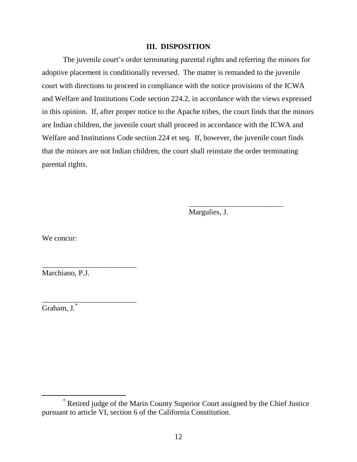#### **III. DISPOSITION**

The juvenile court's order terminating parental rights and referring the minors for adoptive placement is conditionally reversed. The matter is remanded to the juvenile court with directions to proceed in compliance with the notice provisions of the ICWA and Welfare and Institutions Code section 224.2, in accordance with the views expressed in this opinion. If, after proper notice to the Apache tribes, the court finds that the minors are Indian children, the juvenile court shall proceed in accordance with the ICWA and Welfare and Institutions Code section 224 et seq. If, however, the juvenile court finds that the minors are not Indian children, the court shall reinstate the order terminating parental rights.

Margulies, J.

\_\_\_\_\_\_\_\_\_\_\_\_\_\_\_\_\_\_\_\_\_\_\_\_\_

We concur:

Marchiano, P.J.

\_\_\_\_\_\_\_\_\_\_\_\_\_\_\_\_\_\_\_\_\_\_\_\_\_

\_\_\_\_\_\_\_\_\_\_\_\_\_\_\_\_\_\_\_\_\_\_\_\_\_

Graham, J.\*

 $\overline{a}$ 

<sup>\*</sup> Retired judge of the Marin County Superior Court assigned by the Chief Justice pursuant to article VI, section 6 of the California Constitution.